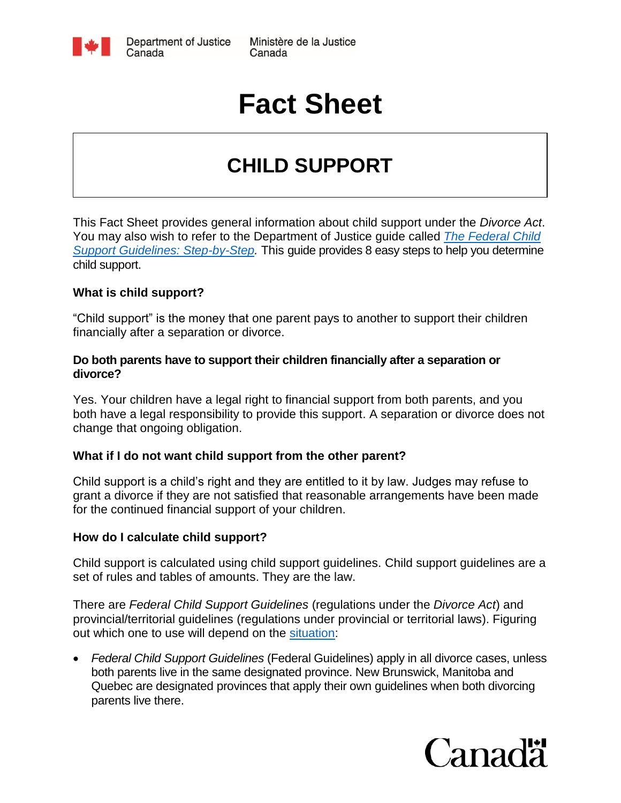

# **Fact Sheet**

## **CHILD SUPPORT**

This Fact Sheet provides general information about child support under the *Divorce Act*. You may also wish to refer to the Department of Justice guide called *[The Federal Child](http://www.justice.gc.ca/eng/rp-pr/fl-lf/child-enfant/guide/index.html)  [Support Guidelines: Step-by-Step.](http://www.justice.gc.ca/eng/rp-pr/fl-lf/child-enfant/guide/index.html)* This guide provides 8 easy steps to help you determine child support.

#### **What is child support?**

"Child support" is the money that one parent pays to another to support their children financially after a separation or divorce.

#### **Do both parents have to support their children financially after a separation or divorce?**

Yes. Your children have a legal right to financial support from both parents, and you both have a legal responsibility to provide this support. A separation or divorce does not change that ongoing obligation.

#### **What if I do not want child support from the other parent?**

Child support is a child's right and they are entitled to it by law. Judges may refuse to grant a divorce if they are not satisfied that reasonable arrangements have been made for the continued financial support of your children.

#### **How do I calculate child support?**

Child support is calculated using child support guidelines. Child support guidelines are a set of rules and tables of amounts. They are the law.

There are *Federal Child Support Guidelines* (regulations under the *Divorce Act*) and provincial/territorial guidelines (regulations under provincial or territorial laws). Figuring out which one to use will depend on the [situation:](http://www.justice.gc.ca/eng/rp-pr/fl-lf/child-enfant/guide/step1-etap1.html)

 *Federal Child Support Guidelines* (Federal Guidelines) apply in all divorce cases, unless both parents live in the same designated province. New Brunswick, Manitoba and Quebec are designated provinces that apply their own guidelines when both divorcing parents live there.

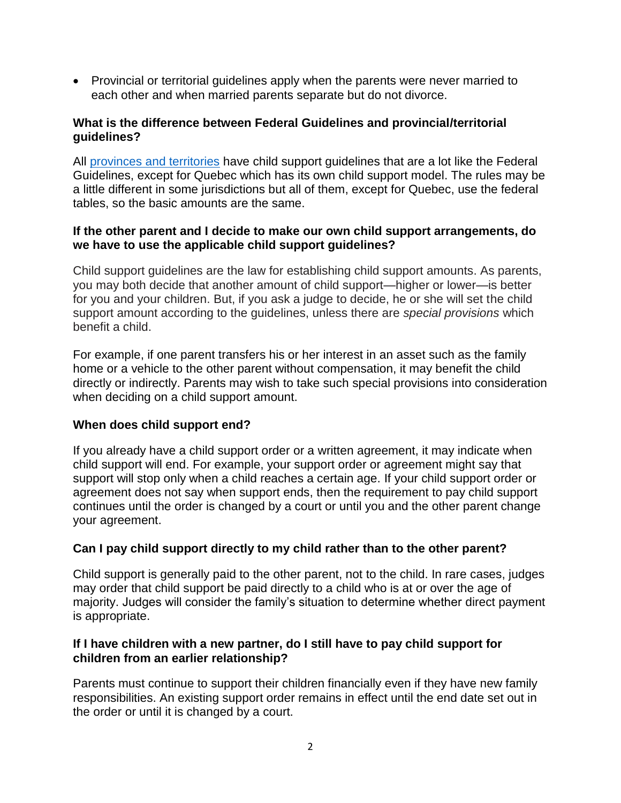• Provincial or territorial guidelines apply when the parents were never married to each other and when married parents separate but do not divorce.

#### **What is the difference between Federal Guidelines and provincial/territorial guidelines?**

All [provinces and territories](http://www.justice.gc.ca/eng/fl-df/pt-tp/index.html) have child support guidelines that are a lot like the Federal Guidelines, except for Quebec which has its own child support model. The rules may be a little different in some jurisdictions but all of them, except for Quebec, use the federal tables, so the basic amounts are the same.

#### **If the other parent and I decide to make our own child support arrangements, do we have to use the applicable child support guidelines?**

Child support guidelines are the law for establishing child support amounts. As parents, you may both decide that another amount of child support—higher or lower—is better for you and your children. But, if you ask a judge to decide, he or she will set the child support amount according to the guidelines, unless there are *special provisions* which benefit a child.

For example, if one parent transfers his or her interest in an asset such as the family home or a vehicle to the other parent without compensation, it may benefit the child directly or indirectly. Parents may wish to take such special provisions into consideration when deciding on a child support amount.

#### **When does child support end?**

If you already have a child support order or a written agreement, it may indicate when child support will end. For example, your support order or agreement might say that support will stop only when a child reaches a certain age. If your child support order or agreement does not say when support ends, then the requirement to pay child support continues until the order is changed by a court or until you and the other parent change your agreement.

#### **Can I pay child support directly to my child rather than to the other parent?**

Child support is generally paid to the other parent, not to the child. In rare cases, judges may order that child support be paid directly to a child who is at or over the age of majority. Judges will consider the family's situation to determine whether direct payment is appropriate.

#### **If I have children with a new partner, do I still have to pay child support for children from an earlier relationship?**

Parents must continue to support their children financially even if they have new family responsibilities. An existing support order remains in effect until the end date set out in the order or until it is changed by a court.